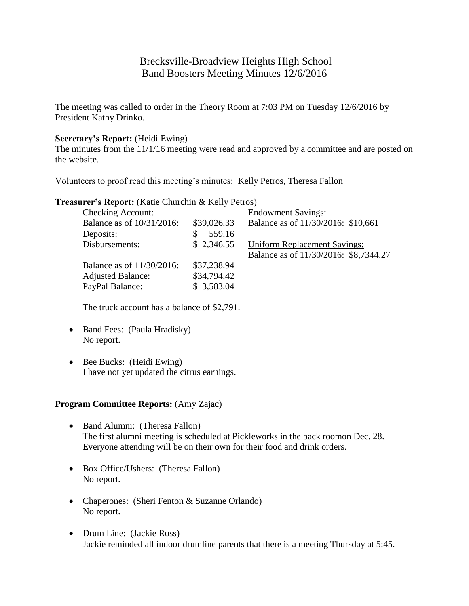# Brecksville-Broadview Heights High School Band Boosters Meeting Minutes 12/6/2016

The meeting was called to order in the Theory Room at 7:03 PM on Tuesday 12/6/2016 by President Kathy Drinko.

### **Secretary's Report:** (Heidi Ewing)

The minutes from the 11/1/16 meeting were read and approved by a committee and are posted on the website.

Volunteers to proof read this meeting's minutes: Kelly Petros, Theresa Fallon

**Treasurer's Report:** (Katie Churchin & Kelly Petros)

| <b>Checking Account:</b>  |             | <b>Endowment Savings:</b>             |
|---------------------------|-------------|---------------------------------------|
| Balance as of 10/31/2016: | \$39,026.33 | Balance as of 11/30/2016: \$10,661    |
| Deposits:                 | 559.16      |                                       |
| Disbursements:            | \$2,346.55  | <b>Uniform Replacement Savings:</b>   |
|                           |             | Balance as of 11/30/2016: \$8,7344.27 |
| Balance as of 11/30/2016: | \$37,238.94 |                                       |
| <b>Adjusted Balance:</b>  | \$34,794.42 |                                       |
| PayPal Balance:           | \$3,583.04  |                                       |

The truck account has a balance of \$2,791.

- Band Fees: (Paula Hradisky) No report.
- Bee Bucks: (Heidi Ewing) I have not yet updated the citrus earnings.

#### **Program Committee Reports:** (Amy Zajac)

- Band Alumni: (Theresa Fallon) The first alumni meeting is scheduled at Pickleworks in the back roomon Dec. 28. Everyone attending will be on their own for their food and drink orders.
- Box Office/Ushers: (Theresa Fallon) No report.
- Chaperones: (Sheri Fenton & Suzanne Orlando) No report.
- Drum Line: (Jackie Ross) Jackie reminded all indoor drumline parents that there is a meeting Thursday at 5:45.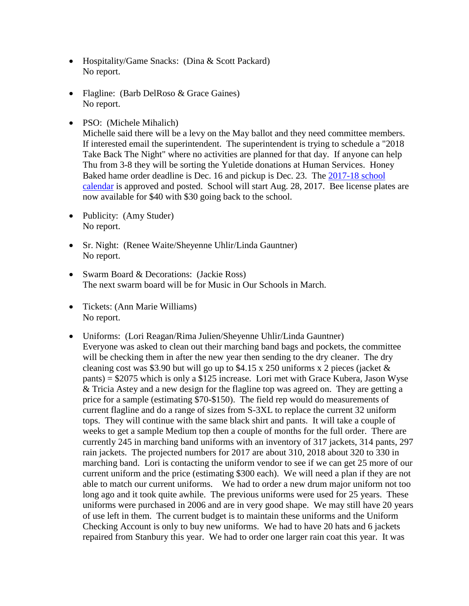- Hospitality/Game Snacks: (Dina & Scott Packard) No report.
- Flagline: (Barb DelRoso & Grace Gaines) No report.
- PSO: (Michele Mihalich)

Michelle said there will be a levy on the May ballot and they need committee members. If interested email the superintendent. The superintendent is trying to schedule a "2018 Take Back The Night" where no activities are planned for that day. If anyone can help Thu from 3-8 they will be sorting the Yuletide donations at Human Services. Honey Baked hame order deadline is Dec. 16 and pickup is Dec. 23. The [2017-18 school](http://www.bbhcsd.org/Downloads/2017-2018%20BBHCSD%20Calendar.pdf)  [calendar](http://www.bbhcsd.org/Downloads/2017-2018%20BBHCSD%20Calendar.pdf) is approved and posted. School will start Aug. 28, 2017. Bee license plates are now available for \$40 with \$30 going back to the school.

- Publicity: (Amy Studer) No report.
- Sr. Night: (Renee Waite/Sheyenne Uhlir/Linda Gauntner) No report.
- Swarm Board & Decorations: (Jackie Ross) The next swarm board will be for Music in Our Schools in March.
- Tickets: (Ann Marie Williams) No report.
- Uniforms: (Lori Reagan/Rima Julien/Sheyenne Uhlir/Linda Gauntner) Everyone was asked to clean out their marching band bags and pockets, the committee will be checking them in after the new year then sending to the dry cleaner. The dry cleaning cost was \$3.90 but will go up to \$4.15 x 250 uniforms x 2 pieces (jacket  $\&$ pants) = \$2075 which is only a \$125 increase. Lori met with Grace Kubera, Jason Wyse & Tricia Astey and a new design for the flagline top was agreed on. They are getting a price for a sample (estimating \$70-\$150). The field rep would do measurements of current flagline and do a range of sizes from S-3XL to replace the current 32 uniform tops. They will continue with the same black shirt and pants. It will take a couple of weeks to get a sample Medium top then a couple of months for the full order. There are currently 245 in marching band uniforms with an inventory of 317 jackets, 314 pants, 297 rain jackets. The projected numbers for 2017 are about 310, 2018 about 320 to 330 in marching band. Lori is contacting the uniform vendor to see if we can get 25 more of our current uniform and the price (estimating \$300 each). We will need a plan if they are not able to match our current uniforms. We had to order a new drum major uniform not too long ago and it took quite awhile. The previous uniforms were used for 25 years. These uniforms were purchased in 2006 and are in very good shape. We may still have 20 years of use left in them. The current budget is to maintain these uniforms and the Uniform Checking Account is only to buy new uniforms. We had to have 20 hats and 6 jackets repaired from Stanbury this year. We had to order one larger rain coat this year. It was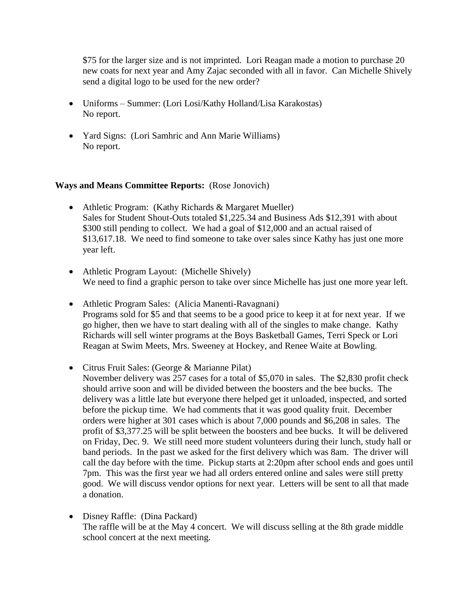\$75 for the larger size and is not imprinted. Lori Reagan made a motion to purchase 20 new coats for next year and Amy Zajac seconded with all in favor. Can Michelle Shively send a digital logo to be used for the new order?

- Uniforms Summer: (Lori Losi/Kathy Holland/Lisa Karakostas) No report.
- Yard Signs: (Lori Samhric and Ann Marie Williams) No report.

## **Ways and Means Committee Reports:** (Rose Jonovich)

- Athletic Program: (Kathy Richards & Margaret Mueller) Sales for Student Shout-Outs totaled \$1,225.34 and Business Ads \$12,391 with about \$300 still pending to collect. We had a goal of \$12,000 and an actual raised of \$13,617.18. We need to find someone to take over sales since Kathy has just one more year left.
- Athletic Program Layout: (Michelle Shively) We need to find a graphic person to take over since Michelle has just one more year left.
- Athletic Program Sales: (Alicia Manenti-Ravagnani) Programs sold for \$5 and that seems to be a good price to keep it at for next year. If we go higher, then we have to start dealing with all of the singles to make change. Kathy Richards will sell winter programs at the Boys Basketball Games, Terri Speck or Lori Reagan at Swim Meets, Mrs. Sweeney at Hockey, and Renee Waite at Bowling.
- Citrus Fruit Sales: (George & Marianne Pilat)
	- November delivery was 257 cases for a total of \$5,070 in sales. The \$2,830 profit check should arrive soon and will be divided between the boosters and the bee bucks. The delivery was a little late but everyone there helped get it unloaded, inspected, and sorted before the pickup time. We had comments that it was good quality fruit. December orders were higher at 301 cases which is about 7,000 pounds and \$6,208 in sales. The profit of \$3,377.25 will be split between the boosters and bee bucks. It will be delivered on Friday, Dec. 9. We still need more student volunteers during their lunch, study hall or band periods. In the past we asked for the first delivery which was 8am. The driver will call the day before with the time. Pickup starts at 2:20pm after school ends and goes until 7pm. This was the first year we had all orders entered online and sales were still pretty good. We will discuss vendor options for next year. Letters will be sent to all that made a donation.
- Disney Raffle: (Dina Packard) The raffle will be at the May 4 concert. We will discuss selling at the 8th grade middle school concert at the next meeting.